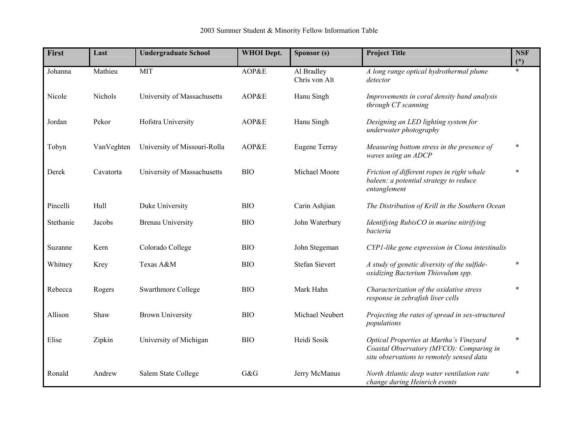| First     | Last       | <b>Undergraduate School</b>  | <b>WHOI</b> Dept. | Sponsor (s)                 | <b>Project Title</b>                                                                                                             | <b>NSF</b><br>$(\dot{a})$ |
|-----------|------------|------------------------------|-------------------|-----------------------------|----------------------------------------------------------------------------------------------------------------------------------|---------------------------|
| Johanna   | Mathieu    | <b>MIT</b>                   | AOP&E             | Al Bradley<br>Chris von Alt | A long range optical hydrothermal plume<br>detector                                                                              | $\star$                   |
| Nicole    | Nichols    | University of Massachusetts  | AOP&E             | Hanu Singh                  | Improvements in coral density band analysis<br>through CT scanning                                                               |                           |
| Jordan    | Pekor      | Hofstra University           | AOP&E             | Hanu Singh                  | Designing an LED lighting system for<br>underwater photography                                                                   |                           |
| Tobyn     | VanVeghten | University of Missouri-Rolla | AOP&E             | Eugene Terray               | Measuring bottom stress in the presence of<br>waves using an ADCP                                                                | $\star$                   |
| Derek     | Cavatorta  | University of Massachusetts  | <b>BIO</b>        | Michael Moore               | Friction of different ropes in right whale<br>baleen: a potential strategy to reduce<br>entanglement                             | $\star$                   |
| Pincelli  | Hull       | Duke University              | <b>BIO</b>        | Carin Ashjian               | The Distribution of Krill in the Southern Ocean                                                                                  |                           |
| Stethanie | Jacobs     | <b>Brenau University</b>     | <b>BIO</b>        | John Waterbury              | Identifying RubisCO in marine nitrifying<br>bacteria                                                                             |                           |
| Suzanne   | Kern       | Colorado College             | <b>BIO</b>        | John Stegeman               | CYP1-like gene expression in Ciona intestinalis                                                                                  |                           |
| Whitney   | Krey       | Texas A&M                    | <b>BIO</b>        | <b>Stefan Sievert</b>       | A study of genetic diversity of the sulfide-<br>oxidizing Bacterium Thiovulum spp.                                               | $\star$                   |
| Rebecca   | Rogers     | Swarthmore College           | <b>BIO</b>        | Mark Hahn                   | Characterization of the oxidative stress<br>response in zebrafish liver cells                                                    | $\star$                   |
| Allison   | Shaw       | <b>Brown University</b>      | <b>BIO</b>        | Michael Neubert             | Projecting the rates of spread in sex-structured<br>populations                                                                  |                           |
| Elise     | Zipkin     | University of Michigan       | <b>BIO</b>        | Heidi Sosik                 | Optical Properties at Martha's Vineyard<br>Coastal Observatory (MVCO): Comparing in<br>situ observations to remotely sensed data | $\star$                   |
| Ronald    | Andrew     | Salem State College          | G&G               | Jerry McManus               | North Atlantic deep water ventilation rate<br>change during Heinrich events                                                      | $\star$                   |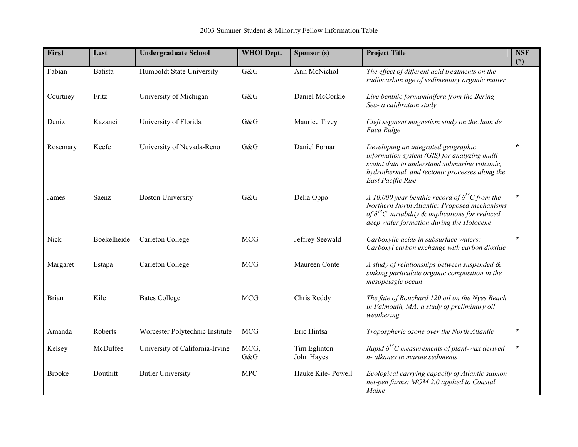| <b>First</b>  | Last           | <b>Undergraduate School</b>     | <b>WHOI</b> Dept. | Sponsor (s)                | <b>Project Title</b>                                                                                                                                                                                             | <b>NSF</b><br>$(*)$ |
|---------------|----------------|---------------------------------|-------------------|----------------------------|------------------------------------------------------------------------------------------------------------------------------------------------------------------------------------------------------------------|---------------------|
| Fabian        | <b>Batista</b> | Humboldt State University       | G&G               | Ann McNichol               | The effect of different acid treatments on the<br>radiocarbon age of sedimentary organic matter                                                                                                                  |                     |
| Courtney      | Fritz          | University of Michigan          | G&G               | Daniel McCorkle            | Live benthic formaminifera from the Bering<br>Sea- a calibration study                                                                                                                                           |                     |
| Deniz         | Kazanci        | University of Florida           | G&G               | Maurice Tivey              | Cleft segment magnetism study on the Juan de<br>Fuca Ridge                                                                                                                                                       |                     |
| Rosemary      | Keefe          | University of Nevada-Reno       | G&G               | Daniel Fornari             | Developing an integrated geographic<br>information system (GIS) for analyzing multi-<br>scalat data to understand submarine volcanic,<br>hydrothermal, and tectonic processes along the<br>East Pacific Rise     | $\star$             |
| James         | Saenz          | <b>Boston University</b>        | G&G               | Delia Oppo                 | A 10,000 year benthic record of $\delta^{13}C$ from the<br>Northern North Atlantic: Proposed mechanisms<br>of $\delta^{13}$ C variability & implications for reduced<br>deep water formation during the Holocene | $\star$             |
| Nick          | Boekelheide    | Carleton College                | <b>MCG</b>        | Jeffrey Seewald            | Carboxylic acids in subsurface waters:<br>Carboxyl carbon exchange with carbon dioxide                                                                                                                           | $\star$             |
| Margaret      | Estapa         | Carleton College                | <b>MCG</b>        | Maureen Conte              | A study of relationships between suspended &<br>sinking particulate organic composition in the<br>mesopelagic ocean                                                                                              |                     |
| <b>Brian</b>  | Kile           | <b>Bates College</b>            | <b>MCG</b>        | Chris Reddy                | The fate of Bouchard 120 oil on the Nyes Beach<br>in Falmouth, MA: a study of preliminary oil<br>weathering                                                                                                      |                     |
| Amanda        | Roberts        | Worcester Polytechnic Institute | <b>MCG</b>        | Eric Hintsa                | Tropospheric ozone over the North Atlantic                                                                                                                                                                       | $\star$             |
| Kelsey        | McDuffee       | University of California-Irvine | MCG,<br>G&G       | Tim Eglinton<br>John Hayes | Rapid $\delta^{13}C$ measurements of plant-wax derived<br>n- alkanes in marine sediments                                                                                                                         | $\star$             |
| <b>Brooke</b> | Douthitt       | <b>Butler University</b>        | <b>MPC</b>        | Hauke Kite-Powell          | Ecological carrying capacity of Atlantic salmon<br>net-pen farms: MOM 2.0 applied to Coastal<br>Maine                                                                                                            |                     |